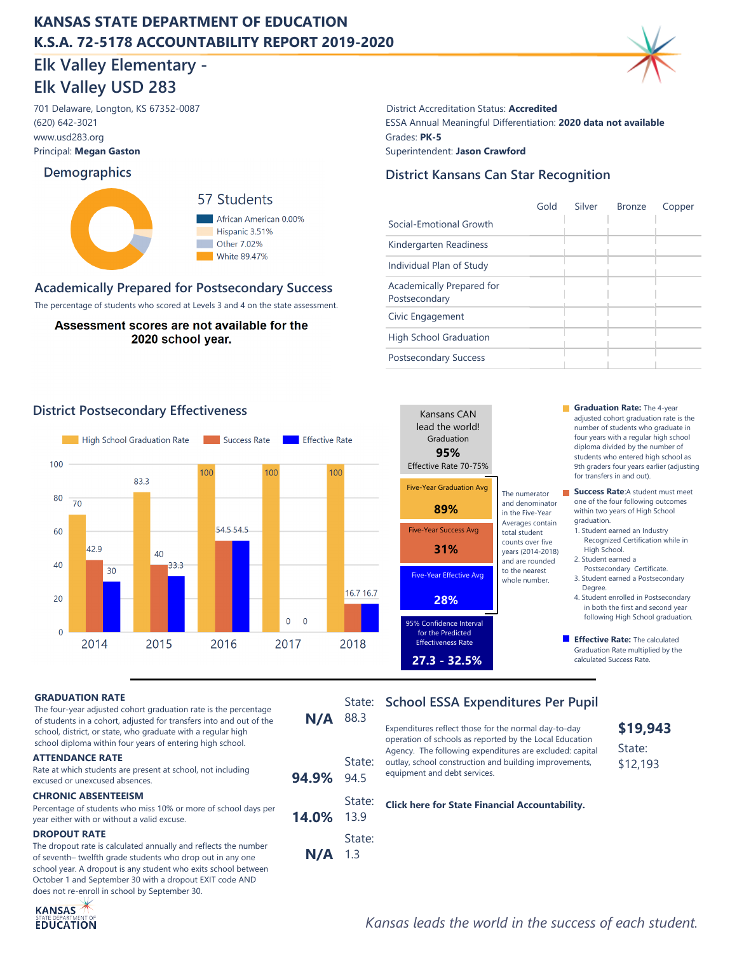# **KANSAS STATE DEPARTMENT OF EDUCATION K.S.A. 72-5178 ACCOUNTABILITY REPORT 2019-2020**

# **Elk Valley Elementary - Elk Valley USD 283**

www.usd283.org Principal: **Megan Gaston** (620) 642-3021

### **Demographics**



### **Academically Prepared for Postsecondary Success**

The percentage of students who scored at Levels 3 and 4 on the state assessment.

Assessment scores are not available for the 2020 school year.

701 Delaware, Longton, KS 67352-0087 District Accreditation Status: **Accredited** ESSA Annual Meaningful Differentiation: **2020 data not available** Grades: **PK-5** Superintendent: **Jason Crawford**

### **District Kansans Can Star Recognition**

|                                            | Gold | Silver | <b>Bronze</b> | Copper |
|--------------------------------------------|------|--------|---------------|--------|
| Social-Emotional Growth                    |      |        |               |        |
| Kindergarten Readiness                     |      |        |               |        |
| Individual Plan of Study                   |      |        |               |        |
| Academically Prepared for<br>Postsecondary |      |        |               |        |
| Civic Engagement                           |      |        |               |        |
| <b>High School Graduation</b>              |      |        |               |        |
| <b>Postsecondary Success</b>               |      |        |               |        |



**14.0%**

**94.9%**

**N/A** 1.3

 State: 13.9

 State: 94.5

State:



**District Postsecondary Effectiveness Graduation Rate:** The 4-year adjusted cohort graduation rate is the number of students who graduate in four years with a regular high school diploma divided by the number of students who entered high school as 9th graders four years earlier (adjusting for transfers in and out).

> **Success Rate:**A student must meet one of the four following outcomes within two years of High School graduation.

1. Student earned an Industry Recognized Certification while in High School.

- 2. Student earned a Postsecondary Certificate.
- 3. Student earned a Postsecondary Degree.
- 4. Student enrolled in Postsecondary in both the first and second year following High School graduation.
- **Effective Rate:** The calculated Graduation Rate multiplied by the calculated Success Rate.

#### **GRADUATION RATE**

The four-year adjusted cohort graduation rate is the percentage of students in a cohort, adjusted for transfers into and out of the school, district, or state, who graduate with a regular high school diploma within four years of entering high school.

#### **ATTENDANCE RATE**

Rate at which students are present at school, not including excused or unexcused absences.

#### **CHRONIC ABSENTEEISM**

Percentage of students who miss 10% or more of school days per year either with or without a valid excuse.

#### **DROPOUT RATE**

The dropout rate is calculated annually and reflects the number of seventh– twelfth grade students who drop out in any one school year. A dropout is any student who exits school between October 1 and September 30 with a dropout EXIT code AND does not re-enroll in school by September 30.



### State: School ESSA Expenditures Per Pupil **N/A** 88.3

Expenditures reflect those for the normal day-to-day operation of schools as reported by the Local Education Agency. The following expenditures are excluded: capital outlay, school construction and building improvements, equipment and debt services.

**[Click here for State Financial Accountability.](https://datacentral.ksde.org/dist_funding_rpt.aspx)**

**\$19,943** State: \$12,193